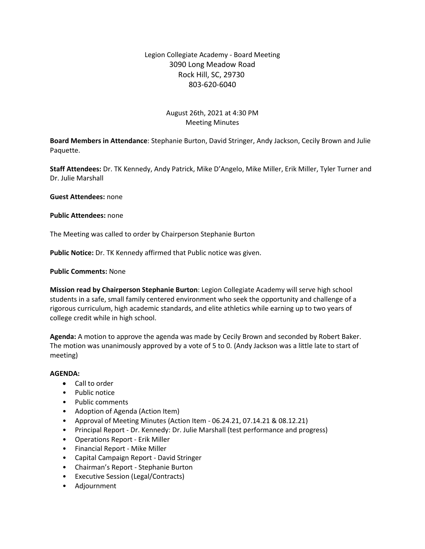# Legion Collegiate Academy - Board Meeting 3090 Long Meadow Road Rock Hill, SC, 29730 803-620-6040

## August 26th, 2021 at 4:30 PM Meeting Minutes

**Board Members in Attendance**: Stephanie Burton, David Stringer, Andy Jackson, Cecily Brown and Julie Paquette.

**Staff Attendees:** Dr. TK Kennedy, Andy Patrick, Mike D'Angelo, Mike Miller, Erik Miller, Tyler Turner and Dr. Julie Marshall

**Guest Attendees:** none

**Public Attendees:** none

The Meeting was called to order by Chairperson Stephanie Burton

**Public Notice:** Dr. TK Kennedy affirmed that Public notice was given.

### **Public Comments:** None

**Mission read by Chairperson Stephanie Burton**: Legion Collegiate Academy will serve high school students in a safe, small family centered environment who seek the opportunity and challenge of a rigorous curriculum, high academic standards, and elite athletics while earning up to two years of college credit while in high school.

**Agenda:** A motion to approve the agenda was made by Cecily Brown and seconded by Robert Baker. The motion was unanimously approved by a vote of 5 to 0. (Andy Jackson was a little late to start of meeting)

#### **AGENDA:**

- Call to order
- Public notice
- Public comments
- Adoption of Agenda (Action Item)
- Approval of Meeting Minutes (Action Item 06.24.21, 07.14.21 & 08.12.21)
- Principal Report Dr. Kennedy: Dr. Julie Marshall (test performance and progress)
- Operations Report Erik Miller
- Financial Report Mike Miller
- Capital Campaign Report David Stringer
- Chairman's Report Stephanie Burton
- Executive Session (Legal/Contracts)
- Adjournment